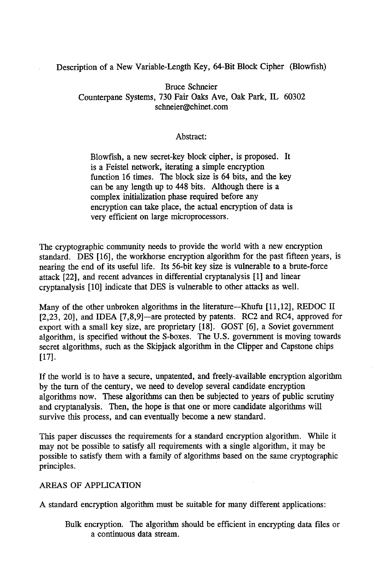## Description of a New Variable-Length Key, 64-Bit Block Cipher (Blowfish)

Bruce Schneier Counterpane Systems, 730 Fair Oaks Ave, Oak Park, IL 60302 sclmeier@chinet.com

## Abstract:

Blowfish, a new secret-key block cipher, is proposed. It is a Feistel network, iterating a simple encryption function 16 times. The block size is 64 bits, and the key can be any length up to 448 bits. Although there is a complex initialization phase required before any encryption can take place, the actual encryption of data is very efficient on large microprocessors.

The cryptographic community needs to provide the world with a new encryption standard. DES [16], the workhorse encryption algorithm for the past fifteen years, is nearing the end of its useful life. Its 56-bit key size is vulnerable to a brute-force attack [22], and recent advances in differential cryptanalysis [1] and linear cryptanalysis [10] indicate that DES is vulnerable to other attacks as well.

Many of the other unbroken algorithms in the literature--Khufu [11,12], REDOC II  $[2,23, 20]$ , and IDEA  $[7,8,9]$ —are protected by patents. RC2 and RC4, approved for export with a small key size, are proprietary [18]. GOST [6], a Soviet government algorithm, is specified without the S-boxes. The U.S. government is moving towards secret algorithms, such as the Skipjack algorithm in the Clipper and Capstone chips [17].

If the world is to have a secure, unpatented, and freely-available encryption algorithm by the turn of the century, we need to develop several candidate encryption algorithms now. These algorithms can then be subjected to years of public scrutiny and cryptanalysis. Then, the hope is that one or more candidate algorithms will survive this process, and can eventually become a new standard.

This paper discusses the requirements for a standard encryption algorithm. While it may not be possible to satisfy all requirements with a single algorithm, it may be possible to satisfy them with a family of algorithms based on the same cryptographic principles.

## AREAS OF APPLICATION

 $\mathbf{r}$ 

A standard encryption algorithm must be suitable for many different applications:

Bulk encryption. The algorithm should be efficient in encrypting data files or a continuous data stream.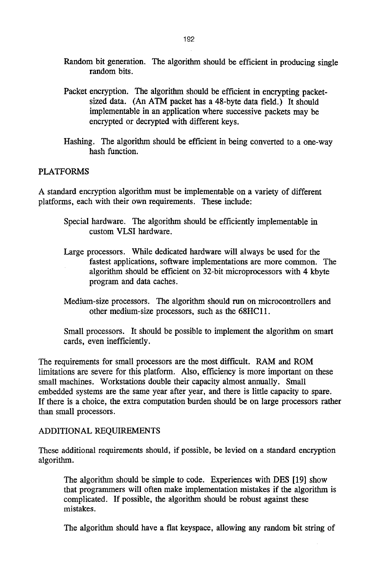- Random bit generation. The algorithm should be efficient in producing single random bits.
- Packet encryption. The algorithm should be efficient in encrypting packetsized data. (An ATM packet has a 48-byte data field.) It should implementable in an application where successive packets may be encrypted or decrypted with different keys.
- Hashing. The algorithm should be efficient in being converted to a one-way hash function.

## PLATFORMS

A standard encryption algorithm must be implementable on a variety of different platforms, each with their own requirements. These include:

- Special hardware. The algorithm should be efficiently implementable in custom VLSI hardware.
- Large processors. While dedicated hardware will always be used for the fastest applications, software implementations are more common. The algorithm should be efficient on 32-bit microprocessors with 4 kbyte program and data caches.
- Medium-size processors. The algorithm should run on microcontrollers and other medium-size processors, such as the 68HC11.

Small processors. It should be possible to implement the algorithm on smart cards, even inefficiently.

The requirements for small processors are the most difficult. RAM and ROM limitations are severe for this platform. Also, efficiency is more important on these small machines. Workstations double their capacity almost annually. Small embedded systems are the same year after year, and there is little capacity to spare. If there is a choice, the extra computation burden should be on large processors rather than small processors.

#### ADDITIONAL REQUIREMENTS

These additional requirements should, if possible, be levied on a standard encryption algorithm.

The algorithm should be simple to code. Experiences with DES [19] show that programmers will often make implementation mistakes if the algorithm is complicated. If possible, the algorithm should be robust against these mistakes.

The algorithm should have a flat keyspace, allowing any random bit string of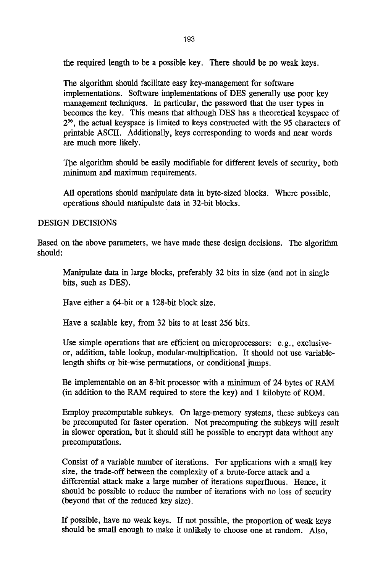the required length to be a possible key. There should be no weak keys.

The algorithm should facilitate easy key-management for software implementations. Software implementations of DES generally use poor key management techniques. In particular, the password that the user types in becomes the key. This means that although DES has a theoretical keyspace of 256, the actual keyspace is limited to keys constructed with the 95 characters of printable ASCII. Additionally, keys corresponding to words and near words are much more likely.

The algorithm should be easily modifiable for different levels of security, both minimum and maximum requirements.

All operations should manipulate data in byte-sized blocks. Where possible, operations should manipulate data in 32-bit blocks.

DESIGN DECISIONS

Based on the above parameters, we have made these design decisions. The algorithm should:

Manipulate data in large blocks, preferably 32 bits in size (and not in single bits, such as DES).

Have either a 64-bit or a 128-bit block size.

Have a scalable key, from 32 bits to at least 256 bits.

Use simple operations that are efficient on microprocessors: e.g., exclusiveor, addition, table lookup, modular-multiplication. It should not use variablelength shifts or bit-wise permutations, or conditional jumps.

Be implementable on an 8-bit processor with a minimum of 24 bytes of RAM (in addition to the RAM required to store the key) and 1 kilobyte of ROM.

Employ precomputable subkeys. On large-memory systems, these subkeys can be precomputed for faster operation. Not precomputing the subkeys will result in slower operation, but it should still be possible to encrypt data without any precomputations.

Consist of a variable number of iterations. For applications with a small key size, the trade-off between the complexity of a brute-force attack and a differential attack make a large number of iterations superfluous. Hence, it should be possible to reduce the number of iterations with no loss of security (beyond that of the reduced key size).

If possible, have no weak keys. If not possible, the proportion of weak keys should be small enough to make it unlikely to choose one at random. Also,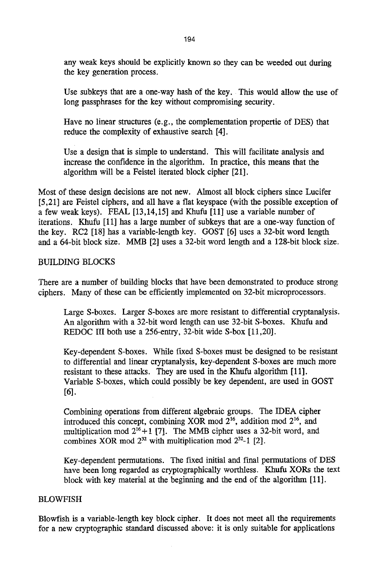any weak keys should be explicitly known so they can be weeded out during the key generation process.

Use subkeys that are a one-way hash of the key. This would allow the use of long passphrases for the key without compromising security.

Have no linear structures (e.g., the complementation propertie of DES) that reduce the complexity of exhaustive search [4].

Use a design that is simple to understand. This will facilitate analysis and increase the confidence in the algorithm. In practice, this means that the algorithm will be a Feistel iterated block cipher [21].

Most of these design decisions are not new. Almost all block ciphers since Lucifer [5,21] are Feistel ciphers, and all have a flat keyspace (with the possible exception of a few weak keys). FEAL [13,14,15] and Khufu [11] use a variable number of iterations. Khufu [11] has a large number of subkeys that are a one-way function of the key. RC2 [18] has a variable-length key. GOST [6] uses a 32-bit word length and a 64-bit block size. MMB [2] uses a 32-bit word length and a 128-bit block size.

## BUILDING BLOCKS

There are a number of building blocks that have been demonstrated to produce strong ciphers. Many of these can be efficiently implemented on 32-bit microprocessors.

Large S-boxes. Larger S-boxes are more resistant to differential cryptanalysis. An algorithm with a 32-bit word length can use 32-bit S-boxes. Khufu and REDOC III both use a 256-entry, 32-bit wide S-box [11,20].

Key-dependent S-boxes. While fixed S-boxes must be designed to be resistant to differential and linear cryptanalysis, key-dependent S-boxes are much more resistant to these attacks. They are used in the Khufu algorithm [11]. Variable S-boxes, which could possibly be key dependent, are used in GOST [6].

Combining operations from different algebraic groups. The IDEA cipher introduced this concept, combining XOR mod  $2^{16}$ , addition mod  $2^{16}$ , and multiplication mod  $2^{16}+1$  [7]. The MMB cipher uses a 32-bit word, and combines XOR mod  $2^{32}$  with multiplication mod  $2^{32}$ -1 [2].

Key-dependent permutations. The fixed initial and final permutations of DES have been long regarded as cryptographically worthless. Khufu XORs the text block with key material at the beginning and the end of the algorithm [11].

#### BLOWFISH

Blowfish is a variable-length key block cipher. It does not meet all the requirements for a new cryptographic standard discussed above: it is only suitable for applications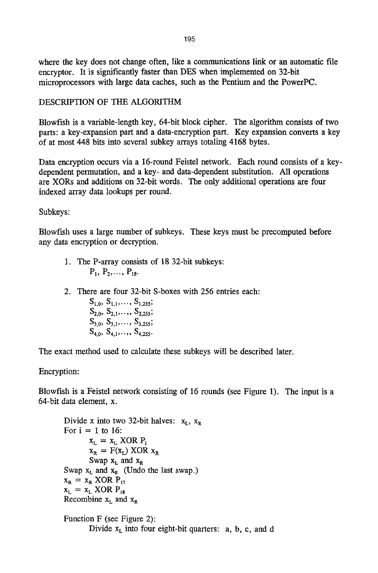where the key does not change often, like a communications link or an automatic file encryptor. It is significantly faster than DES when implemented on 32-bit microprocessors with large data caches, such as the Pentium and the PowerPC.

# DESCRIPTION OF THE ALGORITHM

Blowfish is a variable-length key, 64-bit block cipher. The algorithm consists of two parts: a key-expansion part and a data-encryption part. Key expansion converts a key of at most 448 bits into several subkey arrays totaling 4168 bytes.

Data encryption occurs via a 16-round Feistel network. Each round consists of a keydependent permutation, and a key- and data-dependent substitution. All operations are XORs and additions on 32-bit words. The only additional operations are four indexed array data lookups per round.

## Subkeys:

Blowfish uses a large number of subkeys. These keys must be precomputed before any data encryption or decryption.

- 1. The P-array consists of 18 32-bit subkeys:  $P_1, P_2, \ldots, P_{18}$ .
- . There are four 32-bit S-boxes with 256 entries each:  $S<sub>1,0</sub>, S<sub>1,1</sub>, \ldots, S<sub>1,255</sub>;$  $S_{2,0}, S_{2,1}, \ldots, S_{2,255}$ ;  $S_{3.0}, S_{3.1}, \ldots, S_{3.255}$ ;  $S_{4.0}, S_{4.1}, \ldots, S_{4.255}.$

The exact method used to calculate these subkeys will be described later.

Encryption:

Blowfish is a Feistel network consisting of 16 rounds (see Figure 1). The input is a 64-bit data element, x.

```
Divide x into two 32-bit halves: x_L, x_RFor i = 1 to 16:
       x_L = x_L XOR P_ix_R = F(x_L) XOR x_RSwap x_L and x_RSwap x_L and x_R (Undo the last swap.)
x_R = x_R XOR P_{17}x_L = x_L XOR P_{18}Recombine x_L and x_RFunction F (see Figure 2): 
       Divide x_L into four eight-bit quarters: a, b, c, and d
```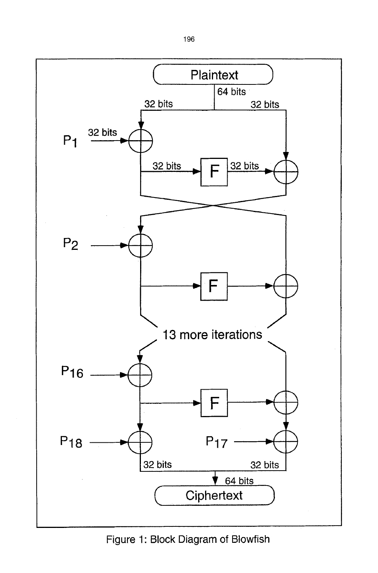

Figure 1: Block Diagram of Blowfish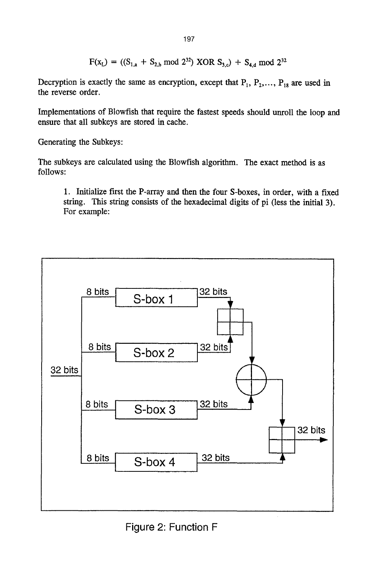$F(x_L) = ((S_{1,a} + S_{2,b} \text{ mod } 2^{32}) \text{ XOR } S_{3,c}) + S_{4,d} \text{ mod } 2^{32}$ 

Decryption is exactly the same as encryption, except that  $P_1$ ,  $P_2$ ,...,  $P_{18}$  are used in the reverse order.

Implementations of Blowfish that require the fastest speeds should unroll the loop and ensure that all subkeys are stored in cache.

Generating the Subkeys:

The subkeys are calculated using the Blowfish algorithm. The exact method is as follows:

1. Initialize first the P-array and then the four S-boxes, in order, with a fixed string. This string consists of the hexadecimal digits of pi (less the initial 3). For example:



**Figure 2: Function F**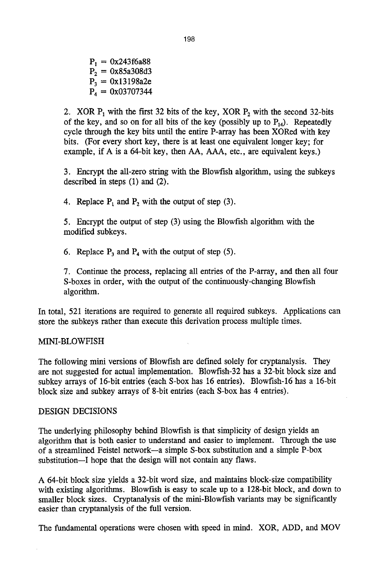$P_1 = 0x243f6a88$  $P_2 = 0x85a308d3$  $P_3 = 0x13198a2e$  $P_4 = 0x03707344$ 

2. XOR  $P_1$  with the first 32 bits of the key, XOR  $P_2$  with the second 32-bits of the key, and so on for all bits of the key (possibly up to  $P_{14}$ ). Repeatedly cycle through the key bits until the entire P-array has been XORed with key bits. (For every short key, there is at least one equivalent longer key; for example, if A is a 64-bit key, then AA, AAA, etc., are equivalent keys.)

3. Encrypt the all-zero string with the Blowfish algorithm, using the subkeys described in steps (1) and (2).

4. Replace  $P_1$  and  $P_2$  with the output of step (3).

5. Encrypt the output of step (3) using the Blowfish algorithm with the modified subkeys.

6. Replace  $P_3$  and  $P_4$  with the output of step (5).

7. Continue the process, replacing all entries of the P-array, and then all four S-boxes in order, with the output of the continuously-changing Blowfish algorithm.

In total, 521 iterations are required to generate all required subkeys. Applications can store the subkeys rather than execute this derivation process multiple times.

#### MINI-BLOWFISH

The following mini versions of Blowfish are defined solely for cryptanalysis. They are not suggested for actual implementation. Blowfish-32 has a 32-bit block size and subkey arrays of 16-bit entries (each S-box has 16 entries). Blowfish-16 has a 16-bit block size and subkey arrays of 8-bit entries (each S-box has 4 entries).

#### DESIGN DECISIONS

The underlying philosophy behind Blowfish is that simplicity of design yields an algorithm that is both easier to understand and easier to implement. Through the use of a streamlined Feistel network--a simple S-box substitution and a simple P-box substitution-I hope that the design will not contain any flaws.

A 64-bit block size yields a 32-bit word size, and maintains block-size compatibility with existing algorithms. Blowfish is easy to scale up to a 128-bit block, and down to smaller block sizes. Cryptanalysis of the mini-Blowfish variants may be significantly easier than cryptanalysis of the full version.

The fundamental operations were chosen with speed in mind. XOR, ADD, and MOV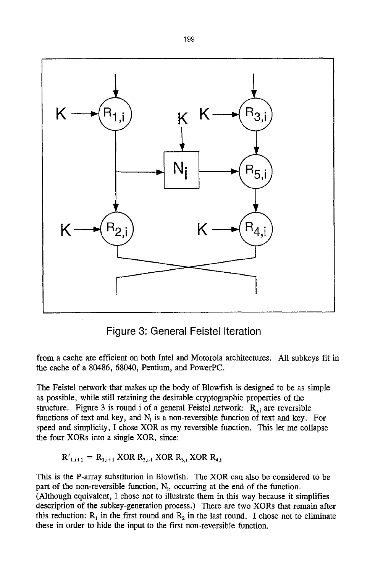

**Figure 3: General Feistel Iteration** 

from a cache are efficient on both Intel and Motorola architectures. All subkeys fit in the cache of a 80486, 68040, Pentium, and PowerPC.

The Feistel network that makes up the body of Blowfish is designed to be as simple as possible, while still retaining the desirable cryptographic properties of the structure. Figure 3 is round i of a general Feistel network:  $R_{n,i}$  are reversible functions of text and key, and  $N_i$  is a non-reversible function of text and key. For speed and simplicity, I chose XOR as my reversible function. This let me collapse the four XORs into a single XOR, since:

$$
R'_{1,i+1} = R_{1,i+1} \text{ XOR } R_{2,i} \text{ XOR } R_{3,i} \text{ XOR } R_{4,i}
$$

This is the P-array substitution in Blowfish. The XOR can also be considered to be part of the non-reversible function,  $N_i$ , occurring at the end of the function. (Although equivalent, I chose not to illustrate them in this way because it simplifies description of the subkey-generation process.) There are two XORs that remain after this reduction:  $R_1$  in the first round and  $R_2$  in the last round. I chose not to eliminate these in order to hide the input to the first non-reversible function.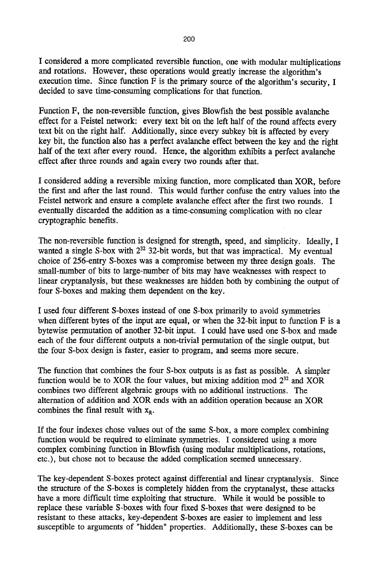I considered a more complicated reversible function, one with modular multiplications and rotations. However, these operations would greatly increase the algorithm's execution time. Since function F is the primary source of the algorithm's security, I decided to save time-consuming complications for that function.

Function F, the non-reversible function, gives Blowfish the best possible avalanche effect for a Feistel network: every text bit on the left half of the round affects every text bit on the right half. Additionally, since every subkey bit is affected by every key bit, the function also has a perfect avalanche effect between the key and the right half of the text after every round. Hence, the algorithm exhibits a perfect avalanche effect after three rounds and again every two rounds after that.

I considered adding a reversible mixing function, more complicated than XOR, before the first and after the last round. This would further confuse the entry values into the Feistel network and ensure a complete avalanche effect after the first two rounds. I eventually discarded the addition as a time-consuming complication with no clear cryptographic benefits.

The non-reversible function is designed for strength, speed, and simplicity. Ideally, I wanted a single S-box with  $2^{32}$  32-bit words, but that was impractical. My eventual choice of 256-entry S-boxes was a compromise between my three design goals. The small-number of bits to large-number of bits may have weaknesses with respect to linear cryptanalysis, but these weaknesses are hidden both by combining the output of four S-boxes and making them dependent on the key.

I used four different S-boxes instead of one S-box primarily to avoid symmetries when different bytes of the input are equal, or when the 32-bit input to function F is a bytewise permutation of another 32-bit input. I could have used one S-box and made each of the four different outputs a non-trivial permutation of the single output, but the four S-box design is faster, easier to program, and seems more secure.

The function that combines the four S-box outputs is as fast as possible. A simpler function would be to XOR the four values, but mixing addition mod  $2^{32}$  and XOR combines two different algebraic groups with no additional instructions. The alternation of addition and XOR ends with an addition operation because an XOR combines the final result with  $x_R$ .

If the four indexes chose values out of the same S-box, a more complex combining function would be required to eliminate symmetries. I considered using a more complex combining function in Blowfish (using modular multiplications, rotations, etc.), but chose not to because the added complication seemed unnecessary.

The key-dependent S-boxes protect against differential and linear cryptanalysis. Since the structure of the S-boxes is completely hidden from the cryptanalyst, these attacks have a more difficult time exploiting that structure. While it would be possible to replace these variable S-boxes with four fixed S-boxes that were designed to be resistant to these attacks, key-dependent S-boxes are easier to implement and less susceptible to arguments of "hidden" properties. Additionally, these S-boxes can be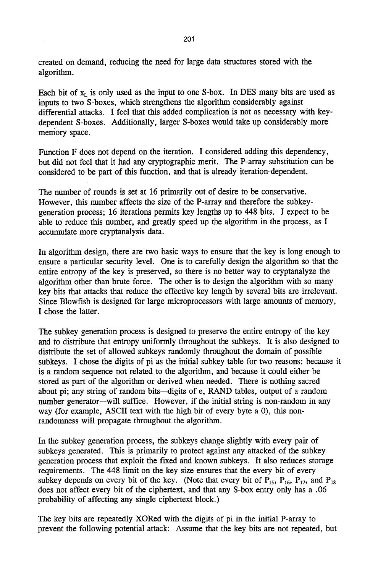created on demand, reducing the need for large data structures stored with the algorithm.

Each bit of  $x<sub>r</sub>$  is only used as the input to one S-box. In DES many bits are used as inputs to two S-boxes, which strengthens the algorithm considerably against differential attacks. I feel that this added complication is not as necessary with keydependent S-boxes. Additionally, larger S-boxes would take up considerably more memory space.

Function F does not depend on the iteration. I considered adding this dependency, but did not feel that it had any cryptographic merit. The P-array substitution can be considered to be part of this function, and that is already iteration-dependent.

The number of rounds is set at 16 primarily out of desire to be conservative. However, this number affects the size of the P-array and therefore the subkeygeneration process; 16 iterations permits key lengths up to 448 bits. I expect to be able to reduce this number, and greatly speed up the algorithm in the process, as I accumulate more cryptanalysis data.

In algorithm design, there are two basic ways to ensure that the key is long enough to ensure a particular security level. One is to carefully design the algorithm so that the entire entropy of the key is preserved, so there is no better way to cryptanalyze the algorithm other than brute force. The other is to design the algorithm with so many key bits that attacks that reduce the effective key length by several bits are irrelevant. Since Blowfish is designed for large microprocessors with large amounts of memory, I chose the latter.

The subkey generation process is designed to preserve the entire entropy of the key and to distribute that entropy uniformly throughout the subkeys. It is also designed to distribute the set of allowed subkeys randomly throughout the domain of possible subkeys. I chose the digits of pi as the initial subkey table for two reasons: because it is a random sequence not related to the algorithm, and because it could either be stored as part of the algorithm or derived when needed. There is nothing sacred about pi; any string of random bits--digits of e, RAND tables, output of a random number generator--will suffice. However, if the initial string is non-random in any way (for example, ASCII text with the high bit of every byte a 0), this nonrandomness will propagate throughout the algorithm.

In the subkey generation process, the subkeys change slightly with every pair of subkeys generated. This is primarily to protect against any attacked of the subkey generation process that exploit the fixed and known subkeys. It also reduces storage requirements. The 448 limit on the key size ensures that the every bit of every subkey depends on every bit of the key. (Note that every bit of  $P_{15}$ ,  $P_{16}$ ,  $P_{17}$ , and  $P_{18}$ does not affect every bit of the ciphertext, and that any S-box entry only has a .06 probability of affecting any single ciphertext block.)

The key bits are repeatedly XORed with the digits of pi in the initial P-array to prevent the following potential attack: Assume that the key bits are not repeated, but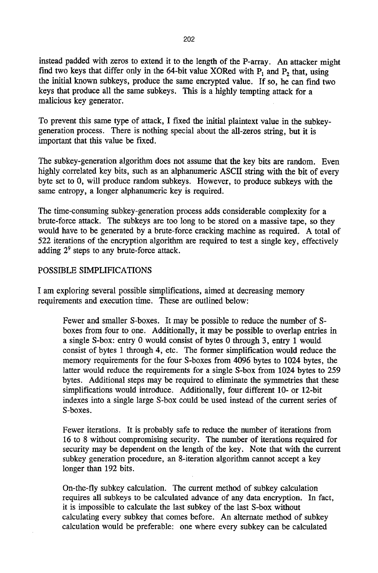instead padded with zeros to extend it to the length of the P-array. An attacker might find two keys that differ only in the 64-bit value XORed with  $P_1$  and  $P_2$  that, using the initial known subkeys, produce the same encrypted value. If so, he can find two keys that produce all the same subkeys. This is a highly tempting attack for a malicious key generator.

To prevent this same type of attack, I fixed the initial plaintext value in the subkeygeneration process. There is nothing special about the all-zeros string, but it is important that this value be fixed.

The subkey-generation algorithm does not assume that the key bits are random. Even highly correlated key bits, such as an alphanumeric ASCII string with the bit of every byte set to 0, will produce random subkeys. However, to produce subkeys with the same entropy, a longer alphanumeric key is required.

The time-consuming subkey-generation process adds considerable complexity for a brute-force attack. The subkeys are too long to be stored on a massive tape, so they would have to be generated by a brute-force cracking machine as required. A total of 522 iterations of the encryption algorithm are required to test a single key, effectively adding  $2^9$  steps to any brute-force attack.

## POSSIBLE SIMPLIFICATIONS

I am exploring several possible simplifications, aimed at decreasing memory requirements and execution time. These are outlined below:

Fewer and smaller S-boxes. It may be possible to reduce the number of Sboxes from four to one. Additionally, it may be possible to overlap entries in a single S-box: entry 0 would consist of bytes 0 through 3, entry 1 would consist of bytes 1 through 4, etc. The former simplification would reduce the memory requirements for the four S-boxes from 4096 bytes to 1024 bytes, the latter would reduce the requirements for a single S-box from 1024 bytes to 259 bytes. Additional steps may be required to eliminate the symmetries that these simplifications would introduce. Additionally, four different 10- or 12-bit indexes into a single large S-box could be used instead of the current series of S-boxes.

Fewer iterations. It is probably safe to reduce the number of iterations from 16 to 8 without compromising security. The number of iterations required for security may be dependent on the length of the key. Note that with the current subkey generation procedure, an 8-iteration algorithm cannot accept a key longer than 192 bits.

On-the-fly subkey calculation. The current method of subkey calculation requires all subkeys to be calculated advance of any data encryption. In fact, it is impossible to calculate the last subkey of the last S-box without calculating every subkey that comes before. An alternate method of subkey calculation would be preferable: one where every subkey can be calculated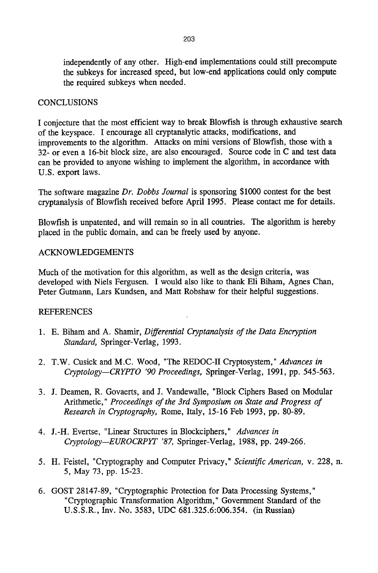independently of any other. High-end implementations could still precompute the subkeys for increased speed, but low-end applications could only compute the required subkeys when needed.

#### **CONCLUSIONS**

I conjecture that the most efficient way to break Blowfish is through exhaustive search of the keyspace. I encourage all cryptanalytic attacks, modifications, and improvements to the algorithm. Attacks on mini versions of Blowfish, those with a 32- or even a 16-bit block size, are also encouraged. Source code in C and test data can be provided to anyone wishing to implement the algorithm, in accordance with U.S. export laws.

The software magazine *Dr. Dobbs Journal* is sponsoring \$1000 contest for the best cryptanalysis of Blowfish received before April 1995. Please contact me for details.

Blowfish is unpatented, and will remain so in all countries. The algorithm is hereby placed in the public domain, and can be freely used by anyone.

## ACKNOWLEDGEMENTS

Much of the motivation for this algorithm, as well as the design criteria, was developed with Niels Fergusen. I would also like to thank Eli Biham, Agnes Chan, Peter Gutmann, Lars Kundsen, and Matt Robshaw for their helpful suggestions.

#### **REFERENCES**

- 1. E. Biham and A. Shamir, *Differential Cryptanalysis of the Data Encryption Standard,* Springer-Verlag, 1993.
- 2. T.W. Cusick and M.C. Wood, "The REDOC-II Cryptosystem," *Advances in Cryptology--CRYPTO "90 Proceedings,* Springer-Verlag, 1991, pp. 545-563.
- . J. Deamen, R. Govaerts, and J. Vandewalle, "Block Ciphers Based on Modular Arithmetic," *Proceedings of the 3rd Symposium on State and Progress of Research in Cryptography,* Rome, Italy, 15-16 Feb 1993, pp. 80-89.
- 4. J.-H. Evertse, "Linear Structures in Blockciphers," *Advances in Cryptology--EUROCRPYl" "87,* Springer-Verlag, 1988, pp. 249-266.
- 5. H. Feistel, "Cryptography and Computer Privacy," *Scientific American,* v. 228, n. 5, May 73, pp. 15-23.
- . GOST 28147-89, "Cryptographic Protection for Data Processing Systems," "Cryptographic Transformation Algorithm," Government Standard of the U.S.S.R., Inv. No. 3583, UDC 681.325.6:006.354. (in Russian)